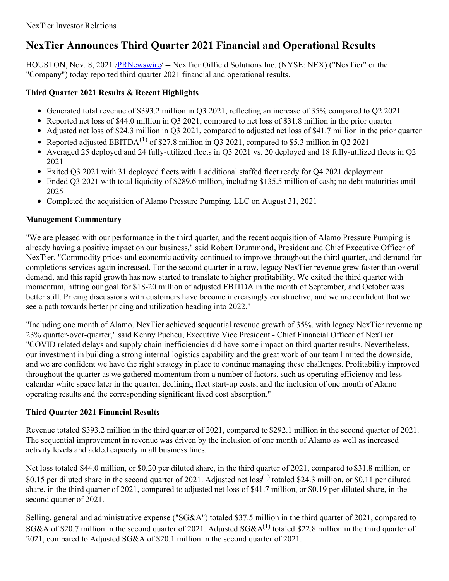# **NexTier Announces Third Quarter 2021 Financial and Operational Results**

HOUSTON, Nov. 8, 2021 [/PRNewswire](http://www.prnewswire.com/)/ -- NexTier Oilfield Solutions Inc. (NYSE: NEX) ("NexTier" or the "Company") today reported third quarter 2021 financial and operational results.

### **Third Quarter 2021 Results & Recent Highlights**

- Generated total revenue of \$393.2 million in Q3 2021, reflecting an increase of 35% compared to Q2 2021
- Reported net loss of \$44.0 million in Q3 2021, compared to net loss of \$31.8 million in the prior quarter
- Adjusted net loss of \$24.3 million in Q3 2021, compared to adjusted net loss of \$41.7 million in the prior quarter
- Reported adjusted EBITDA<sup>(1)</sup> of \$27.8 million in Q3 2021, compared to \$5.3 million in Q2 2021
- Averaged 25 deployed and 24 fully-utilized fleets in Q3 2021 vs. 20 deployed and 18 fully-utilized fleets in Q2 2021
- Exited Q3 2021 with 31 deployed fleets with 1 additional staffed fleet ready for Q4 2021 deployment
- Ended Q3 2021 with total liquidity of \$289.6 million, including \$135.5 million of cash; no debt maturities until 2025
- Completed the acquisition of Alamo Pressure Pumping, LLC on August 31, 2021

### **Management Commentary**

"We are pleased with our performance in the third quarter, and the recent acquisition of Alamo Pressure Pumping is already having a positive impact on our business," said Robert Drummond, President and Chief Executive Officer of NexTier. "Commodity prices and economic activity continued to improve throughout the third quarter, and demand for completions services again increased. For the second quarter in a row, legacy NexTier revenue grew faster than overall demand, and this rapid growth has now started to translate to higher profitability. We exited the third quarter with momentum, hitting our goal for \$18-20 million of adjusted EBITDA in the month of September, and October was better still. Pricing discussions with customers have become increasingly constructive, and we are confident that we see a path towards better pricing and utilization heading into 2022."

"Including one month of Alamo, NexTier achieved sequential revenue growth of 35%, with legacy NexTier revenue up 23% quarter-over-quarter," said Kenny Pucheu, Executive Vice President - Chief Financial Officer of NexTier. "COVID related delays and supply chain inefficiencies did have some impact on third quarter results. Nevertheless, our investment in building a strong internal logistics capability and the great work of our team limited the downside, and we are confident we have the right strategy in place to continue managing these challenges. Profitability improved throughout the quarter as we gathered momentum from a number of factors, such as operating efficiency and less calendar white space later in the quarter, declining fleet start-up costs, and the inclusion of one month of Alamo operating results and the corresponding significant fixed cost absorption."

### **Third Quarter 2021 Financial Results**

Revenue totaled \$393.2 million in the third quarter of 2021, compared to \$292.1 million in the second quarter of 2021. The sequential improvement in revenue was driven by the inclusion of one month of Alamo as well as increased activity levels and added capacity in all business lines.

Net loss totaled \$44.0 million, or \$0.20 per diluted share, in the third quarter of 2021, compared to \$31.8 million, or \$0.15 per diluted share in the second quarter of 2021. Adjusted net loss<sup>(1)</sup> totaled \$24.3 million, or \$0.11 per diluted share, in the third quarter of 2021, compared to adjusted net loss of \$41.7 million, or \$0.19 per diluted share, in the second quarter of 2021.

Selling, general and administrative expense ("SG&A") totaled \$37.5 million in the third quarter of 2021, compared to SG&A of \$20.7 million in the second quarter of 2021. Adjusted SG&A<sup>(1)</sup> totaled \$22.8 million in the third quarter of 2021, compared to Adjusted SG&A of \$20.1 million in the second quarter of 2021.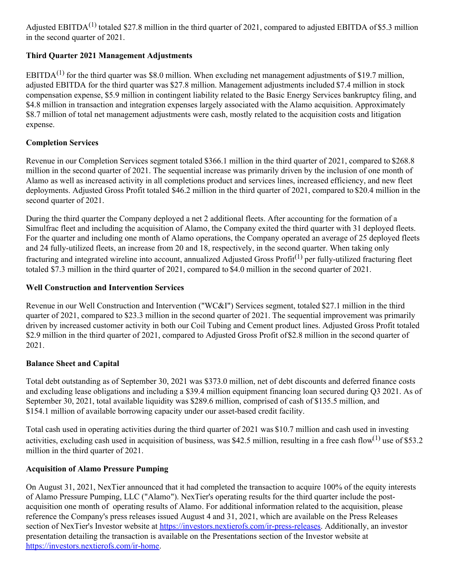Adjusted EBITDA<sup>(1)</sup> totaled \$27.8 million in the third quarter of 2021, compared to adjusted EBITDA of \$5.3 million in the second quarter of 2021.

### **Third Quarter 2021 Management Adjustments**

EBITDA<sup>(1)</sup> for the third quarter was \$8.0 million. When excluding net management adjustments of \$19.7 million, adjusted EBITDA for the third quarter was \$27.8 million. Management adjustments included \$7.4 million in stock compensation expense, \$5.9 million in contingent liability related to the Basic Energy Services bankruptcy filing, and \$4.8 million in transaction and integration expenses largely associated with the Alamo acquisition. Approximately \$8.7 million of total net management adjustments were cash, mostly related to the acquisition costs and litigation expense.

#### **Completion Services**

Revenue in our Completion Services segment totaled \$366.1 million in the third quarter of 2021, compared to \$268.8 million in the second quarter of 2021. The sequential increase was primarily driven by the inclusion of one month of Alamo as well as increased activity in all completions product and services lines, increased efficiency, and new fleet deployments. Adjusted Gross Profit totaled \$46.2 million in the third quarter of 2021, compared to \$20.4 million in the second quarter of 2021.

During the third quarter the Company deployed a net 2 additional fleets. After accounting for the formation of a Simulfrac fleet and including the acquisition of Alamo, the Company exited the third quarter with 31 deployed fleets. For the quarter and including one month of Alamo operations, the Company operated an average of 25 deployed fleets and 24 fully-utilized fleets, an increase from 20 and 18, respectively, in the second quarter. When taking only fracturing and integrated wireline into account, annualized Adjusted Gross Profit<sup>(1)</sup> per fully-utilized fracturing fleet totaled \$7.3 million in the third quarter of 2021, compared to \$4.0 million in the second quarter of 2021.

#### **Well Construction and Intervention Services**

Revenue in our Well Construction and Intervention ("WC&I") Services segment, totaled \$27.1 million in the third quarter of 2021, compared to \$23.3 million in the second quarter of 2021. The sequential improvement was primarily driven by increased customer activity in both our Coil Tubing and Cement product lines. Adjusted Gross Profit totaled \$2.9 million in the third quarter of 2021, compared to Adjusted Gross Profit of \$2.8 million in the second quarter of 2021.

### **Balance Sheet and Capital**

Total debt outstanding as of September 30, 2021 was \$373.0 million, net of debt discounts and deferred finance costs and excluding lease obligations and including a \$39.4 million equipment financing loan secured during Q3 2021. As of September 30, 2021, total available liquidity was \$289.6 million, comprised of cash of \$135.5 million, and \$154.1 million of available borrowing capacity under our asset-based credit facility.

Total cash used in operating activities during the third quarter of 2021 was \$10.7 million and cash used in investing activities, excluding cash used in acquisition of business, was \$42.5 million, resulting in a free cash flow<sup>(1)</sup> use of \$53.2 million in the third quarter of 2021.

#### **Acquisition of Alamo Pressure Pumping**

On August 31, 2021, NexTier announced that it had completed the transaction to acquire 100% of the equity interests of Alamo Pressure Pumping, LLC ("Alamo"). NexTier's operating results for the third quarter include the postacquisition one month of operating results of Alamo. For additional information related to the acquisition, please reference the Company's press releases issued August 4 and 31, 2021, which are available on the Press Releases section of NexTier's Investor website at <https://investors.nextierofs.com/ir-press-releases>. Additionally, an investor presentation detailing the transaction is available on the Presentations section of the Investor website at [https://investors.nextierofs.com/ir-home](https://c212.net/c/link/?t=0&l=en&o=3351468-1&h=1342401266&u=https%3A%2F%2Finvestors.nextierofs.com%2Fir-home&a=https%3A%2F%2Finvestors.nextierofs.com%2Fir-home).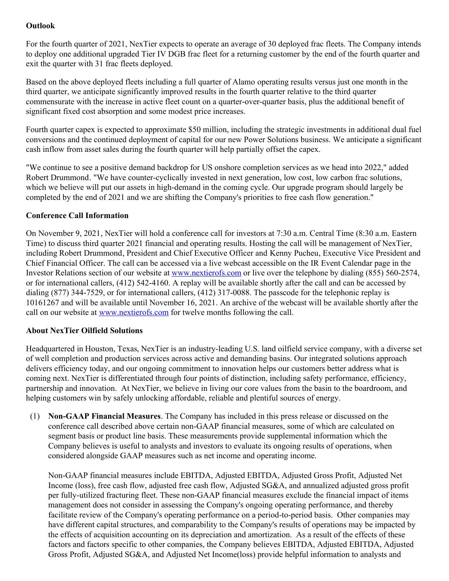### **Outlook**

For the fourth quarter of 2021, NexTier expects to operate an average of 30 deployed frac fleets. The Company intends to deploy one additional upgraded Tier IV DGB frac fleet for a returning customer by the end of the fourth quarter and exit the quarter with 31 frac fleets deployed.

Based on the above deployed fleets including a full quarter of Alamo operating results versus just one month in the third quarter, we anticipate significantly improved results in the fourth quarter relative to the third quarter commensurate with the increase in active fleet count on a quarter-over-quarter basis, plus the additional benefit of significant fixed cost absorption and some modest price increases.

Fourth quarter capex is expected to approximate \$50 million, including the strategic investments in additional dual fuel conversions and the continued deployment of capital for our new Power Solutions business. We anticipate a significant cash inflow from asset sales during the fourth quarter will help partially offset the capex.

"We continue to see a positive demand backdrop for US onshore completion services as we head into 2022," added Robert Drummond. "We have counter-cyclically invested in next generation, low cost, low carbon frac solutions, which we believe will put our assets in high-demand in the coming cycle. Our upgrade program should largely be completed by the end of 2021 and we are shifting the Company's priorities to free cash flow generation."

#### **Conference Call Information**

On November 9, 2021, NexTier will hold a conference call for investors at 7:30 a.m. Central Time (8:30 a.m. Eastern Time) to discuss third quarter 2021 financial and operating results. Hosting the call will be management of NexTier, including Robert Drummond, President and Chief Executive Officer and Kenny Pucheu, Executive Vice President and Chief Financial Officer. The call can be accessed via a live webcast accessible on the IR Event Calendar page in the Investor Relations section of our website at [www.nextierofs.com](http://www.nextierofs.com) or live over the telephone by dialing (855) 560-2574, or for international callers, (412) 542-4160. A replay will be available shortly after the call and can be accessed by dialing (877) 344-7529, or for international callers, (412) 317-0088. The passcode for the telephonic replay is 10161267 and will be available until November 16, 2021. An archive of the webcast will be available shortly after the call on our website at [www.nextierofs.com](http://www.nextierofs.com) for twelve months following the call.

#### **About NexTier Oilfield Solutions**

Headquartered in Houston, Texas, NexTier is an industry-leading U.S. land oilfield service company, with a diverse set of well completion and production services across active and demanding basins. Our integrated solutions approach delivers efficiency today, and our ongoing commitment to innovation helps our customers better address what is coming next. NexTier is differentiated through four points of distinction, including safety performance, efficiency, partnership and innovation. At NexTier, we believe in living our core values from the basin to the boardroom, and helping customers win by safely unlocking affordable, reliable and plentiful sources of energy.

(1) **Non-GAAP Financial Measures**. The Company has included in this press release or discussed on the conference call described above certain non-GAAP financial measures, some of which are calculated on segment basis or product line basis. These measurements provide supplemental information which the Company believes is useful to analysts and investors to evaluate its ongoing results of operations, when considered alongside GAAP measures such as net income and operating income.

Non-GAAP financial measures include EBITDA, Adjusted EBITDA, Adjusted Gross Profit, Adjusted Net Income (loss), free cash flow, adjusted free cash flow, Adjusted SG&A, and annualized adjusted gross profit per fully-utilized fracturing fleet. These non-GAAP financial measures exclude the financial impact of items management does not consider in assessing the Company's ongoing operating performance, and thereby facilitate review of the Company's operating performance on a period-to-period basis. Other companies may have different capital structures, and comparability to the Company's results of operations may be impacted by the effects of acquisition accounting on its depreciation and amortization. As a result of the effects of these factors and factors specific to other companies, the Company believes EBITDA, Adjusted EBITDA, Adjusted Gross Profit, Adjusted SG&A, and Adjusted Net Income(loss) provide helpful information to analysts and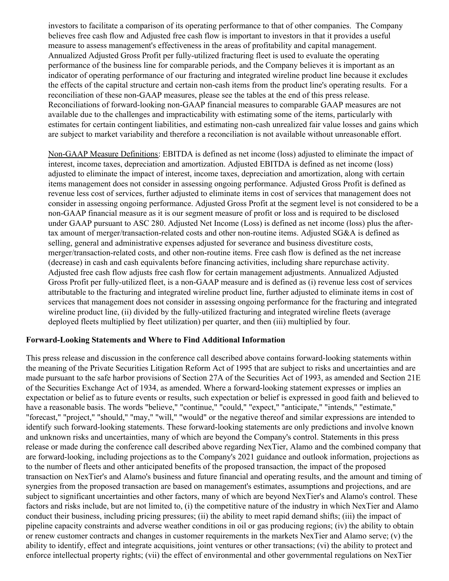investors to facilitate a comparison of its operating performance to that of other companies. The Company believes free cash flow and Adjusted free cash flow is important to investors in that it provides a useful measure to assess management's effectiveness in the areas of profitability and capital management. Annualized Adjusted Gross Profit per fully-utilized fracturing fleet is used to evaluate the operating performance of the business line for comparable periods, and the Company believes it is important as an indicator of operating performance of our fracturing and integrated wireline product line because it excludes the effects of the capital structure and certain non-cash items from the product line's operating results. For a reconciliation of these non-GAAP measures, please see the tables at the end of this press release. Reconciliations of forward-looking non-GAAP financial measures to comparable GAAP measures are not available due to the challenges and impracticability with estimating some of the items, particularly with estimates for certain contingent liabilities, and estimating non-cash unrealized fair value losses and gains which are subject to market variability and therefore a reconciliation is not available without unreasonable effort.

Non-GAAP Measure Definitions: EBITDA is defined as net income (loss) adjusted to eliminate the impact of interest, income taxes, depreciation and amortization. Adjusted EBITDA is defined as net income (loss) adjusted to eliminate the impact of interest, income taxes, depreciation and amortization, along with certain items management does not consider in assessing ongoing performance. Adjusted Gross Profit is defined as revenue less cost of services, further adjusted to eliminate items in cost of services that management does not consider in assessing ongoing performance. Adjusted Gross Profit at the segment level is not considered to be a non-GAAP financial measure as it is our segment measure of profit or loss and is required to be disclosed under GAAP pursuant to ASC 280. Adjusted Net Income (Loss) is defined as net income (loss) plus the aftertax amount of merger/transaction-related costs and other non-routine items. Adjusted SG&A is defined as selling, general and administrative expenses adjusted for severance and business divestiture costs, merger/transaction-related costs, and other non-routine items. Free cash flow is defined as the net increase (decrease) in cash and cash equivalents before financing activities, including share repurchase activity. Adjusted free cash flow adjusts free cash flow for certain management adjustments. Annualized Adjusted Gross Profit per fully-utilized fleet, is a non-GAAP measure and is defined as (i) revenue less cost of services attributable to the fracturing and integrated wireline product line, further adjusted to eliminate items in cost of services that management does not consider in assessing ongoing performance for the fracturing and integrated wireline product line, (ii) divided by the fully-utilized fracturing and integrated wireline fleets (average deployed fleets multiplied by fleet utilization) per quarter, and then (iii) multiplied by four.

#### **Forward-Looking Statements and Where to Find Additional Information**

This press release and discussion in the conference call described above contains forward-looking statements within the meaning of the Private Securities Litigation Reform Act of 1995 that are subject to risks and uncertainties and are made pursuant to the safe harbor provisions of Section 27A of the Securities Act of 1993, as amended and Section 21E of the Securities Exchange Act of 1934, as amended. Where a forward-looking statement expresses or implies an expectation or belief as to future events or results, such expectation or belief is expressed in good faith and believed to have a reasonable basis. The words "believe," "continue," "could," "expect," "anticipate," "intends," "estimate," "forecast," "project," "should," "may," "will," "would" or the negative thereof and similar expressions are intended to identify such forward-looking statements. These forward-looking statements are only predictions and involve known and unknown risks and uncertainties, many of which are beyond the Company's control. Statements in this press release or made during the conference call described above regarding NexTier, Alamo and the combined company that are forward-looking, including projections as to the Company's 2021 guidance and outlook information, projections as to the number of fleets and other anticipated benefits of the proposed transaction, the impact of the proposed transaction on NexTier's and Alamo's business and future financial and operating results, and the amount and timing of synergies from the proposed transaction are based on management's estimates, assumptions and projections, and are subject to significant uncertainties and other factors, many of which are beyond NexTier's and Alamo's control. These factors and risks include, but are not limited to, (i) the competitive nature of the industry in which NexTier and Alamo conduct their business, including pricing pressures; (ii) the ability to meet rapid demand shifts; (iii) the impact of pipeline capacity constraints and adverse weather conditions in oil or gas producing regions; (iv) the ability to obtain or renew customer contracts and changes in customer requirements in the markets NexTier and Alamo serve; (v) the ability to identify, effect and integrate acquisitions, joint ventures or other transactions; (vi) the ability to protect and enforce intellectual property rights; (vii) the effect of environmental and other governmental regulations on NexTier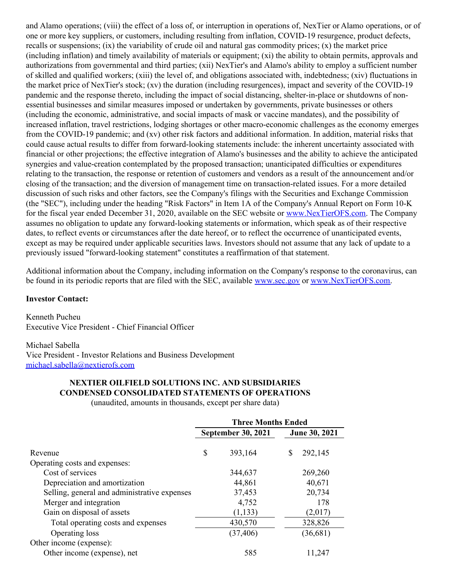and Alamo operations; (viii) the effect of a loss of, or interruption in operations of, NexTier or Alamo operations, or of one or more key suppliers, or customers, including resulting from inflation, COVID-19 resurgence, product defects, recalls or suspensions; (ix) the variability of crude oil and natural gas commodity prices; (x) the market price (including inflation) and timely availability of materials or equipment; (xi) the ability to obtain permits, approvals and authorizations from governmental and third parties; (xii) NexTier's and Alamo's ability to employ a sufficient number of skilled and qualified workers; (xiii) the level of, and obligations associated with, indebtedness; (xiv) fluctuations in the market price of NexTier's stock; (xv) the duration (including resurgences), impact and severity of the COVID-19 pandemic and the response thereto, including the impact of social distancing, shelter-in-place or shutdowns of nonessential businesses and similar measures imposed or undertaken by governments, private businesses or others (including the economic, administrative, and social impacts of mask or vaccine mandates), and the possibility of increased inflation, travel restrictions, lodging shortages or other macro-economic challenges as the economy emerges from the COVID-19 pandemic; and (xv) other risk factors and additional information. In addition, material risks that could cause actual results to differ from forward-looking statements include: the inherent uncertainty associated with financial or other projections; the effective integration of Alamo's businesses and the ability to achieve the anticipated synergies and value-creation contemplated by the proposed transaction; unanticipated difficulties or expenditures relating to the transaction, the response or retention of customers and vendors as a result of the announcement and/or closing of the transaction; and the diversion of management time on transaction-related issues. For a more detailed discussion of such risks and other factors, see the Company's filings with the Securities and Exchange Commission (the "SEC"), including under the heading "Risk Factors" in Item 1A of the Company's Annual Report on Form 10-K for the fiscal year ended December 31, 2020, available on the SEC website or [www.NexTierOFS.com](http://www.nextierofs.com). The Company assumes no obligation to update any forward-looking statements or information, which speak as of their respective dates, to reflect events or circumstances after the date hereof, or to reflect the occurrence of unanticipated events, except as may be required under applicable securities laws. Investors should not assume that any lack of update to a previously issued "forward-looking statement" constitutes a reaffirmation of that statement.

Additional information about the Company, including information on the Company's response to the coronavirus, can be found in its periodic reports that are filed with the SEC, available [www.sec.gov](http://www.sec.gov) or [www.NexTierOFS.com](http://www.nextierofs.com).

#### **Investor Contact:**

Kenneth Pucheu Executive Vice President - Chief Financial Officer

Michael Sabella Vice President - Investor Relations and Business Development [michael.sabella@nextierofs.com](mailto:michael.sabella@nextierofs.com)

### **NEXTIER OILFIELD SOLUTIONS INC. AND SUBSIDIARIES CONDENSED CONSOLIDATED STATEMENTS OF OPERATIONS**

(unaudited, amounts in thousands, except per share data)

|                                              | <b>Three Months Ended</b> |           |   |               |
|----------------------------------------------|---------------------------|-----------|---|---------------|
|                                              | <b>September 30, 2021</b> |           |   | June 30, 2021 |
| Revenue                                      | \$                        | 393,164   | S | 292,145       |
| Operating costs and expenses:                |                           |           |   |               |
| Cost of services                             |                           | 344,637   |   | 269,260       |
| Depreciation and amortization                |                           | 44,861    |   | 40,671        |
| Selling, general and administrative expenses |                           | 37,453    |   | 20,734        |
| Merger and integration                       |                           | 4,752     |   | 178           |
| Gain on disposal of assets                   |                           | (1, 133)  |   | (2,017)       |
| Total operating costs and expenses           |                           | 430,570   |   | 328,826       |
| Operating loss                               |                           | (37, 406) |   | (36,681)      |
| Other income (expense):                      |                           |           |   |               |
| Other income (expense), net                  |                           | 585       |   | 11,247        |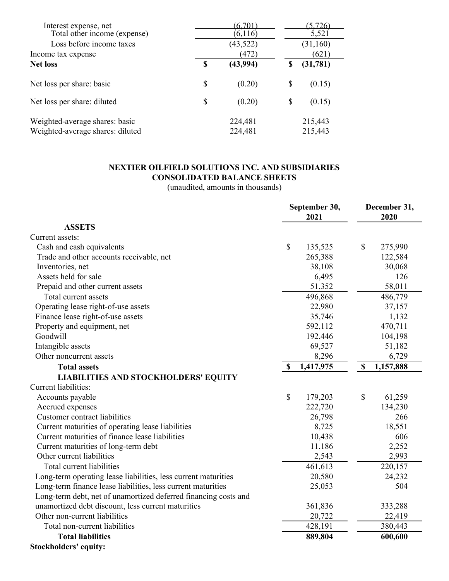| Interest expense, net<br>Total other income (expense)              | (6.701)<br>(6,116) | 5726<br>5,521      |  |
|--------------------------------------------------------------------|--------------------|--------------------|--|
| Loss before income taxes<br>Income tax expense                     | (43, 522)<br>(472) | (31, 160)<br>(621) |  |
| <b>Net loss</b>                                                    | \$<br>(43,994)     | \$<br>(31,781)     |  |
| Net loss per share: basic                                          | \$<br>(0.20)       | \$<br>(0.15)       |  |
| Net loss per share: diluted                                        | \$<br>(0.20)       | \$<br>(0.15)       |  |
| Weighted-average shares: basic<br>Weighted-average shares: diluted | 224,481<br>224,481 | 215,443<br>215,443 |  |

### **NEXTIER OILFIELD SOLUTIONS INC. AND SUBSIDIARIES CONSOLIDATED BALANCE SHEETS**

(unaudited, amounts in thousands)

|                                                                 | September 30,<br>2021    | December 31,<br>2020                   |  |  |
|-----------------------------------------------------------------|--------------------------|----------------------------------------|--|--|
| <b>ASSETS</b>                                                   |                          |                                        |  |  |
| Current assets:                                                 |                          |                                        |  |  |
| Cash and cash equivalents                                       | $\mathbb{S}$<br>135,525  | \$<br>275,990                          |  |  |
| Trade and other accounts receivable, net                        | 265,388                  | 122,584                                |  |  |
| Inventories, net                                                | 38,108                   | 30,068                                 |  |  |
| Assets held for sale                                            | 6,495                    | 126                                    |  |  |
| Prepaid and other current assets                                | 51,352                   | 58,011                                 |  |  |
| Total current assets                                            | 496,868                  | 486,779                                |  |  |
| Operating lease right-of-use assets                             | 22,980                   | 37,157                                 |  |  |
| Finance lease right-of-use assets                               | 35,746                   | 1,132                                  |  |  |
| Property and equipment, net                                     | 592,112                  | 470,711                                |  |  |
| Goodwill                                                        | 192,446                  | 104,198                                |  |  |
| Intangible assets                                               | 69,527                   | 51,182                                 |  |  |
| Other noncurrent assets                                         | 8,296                    | 6,729                                  |  |  |
| <b>Total assets</b>                                             | $\mathbf S$<br>1,417,975 | 1,157,888<br>$\boldsymbol{\mathsf{S}}$ |  |  |
| <b>LIABILITIES AND STOCKHOLDERS' EQUITY</b>                     |                          |                                        |  |  |
| Current liabilities:                                            |                          |                                        |  |  |
| Accounts payable                                                | $\mathbf S$<br>179,203   | \$<br>61,259                           |  |  |
| Accrued expenses                                                | 222,720                  | 134,230                                |  |  |
| <b>Customer contract liabilities</b>                            | 26,798                   | 266                                    |  |  |
| Current maturities of operating lease liabilities               | 8,725                    | 18,551                                 |  |  |
| Current maturities of finance lease liabilities                 | 10,438                   | 606                                    |  |  |
| Current maturities of long-term debt                            | 11,186                   | 2,252                                  |  |  |
| Other current liabilities                                       | 2,543                    | 2,993                                  |  |  |
| Total current liabilities                                       | 461,613                  | 220,157                                |  |  |
| Long-term operating lease liabilities, less current maturities  | 20,580                   | 24,232                                 |  |  |
| Long-term finance lease liabilities, less current maturities    | 25,053                   | 504                                    |  |  |
| Long-term debt, net of unamortized deferred financing costs and |                          |                                        |  |  |
| unamortized debt discount, less current maturities              | 361,836                  | 333,288                                |  |  |
| Other non-current liabilities                                   | 20,722                   | 22,419                                 |  |  |
| Total non-current liabilities                                   | 428,191                  | 380,443                                |  |  |
| <b>Total liabilities</b>                                        | 889,804                  | 600,600                                |  |  |
| <b>Stockholders' equity:</b>                                    |                          |                                        |  |  |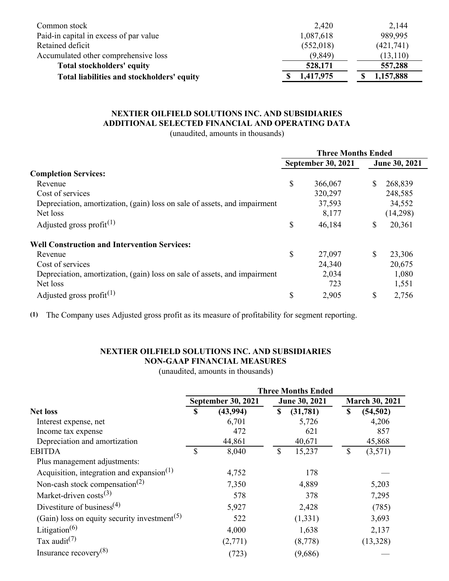| Common stock                               | 2,420      | 2,144     |
|--------------------------------------------|------------|-----------|
| Paid-in capital in excess of par value     | 1,087,618  | 989,995   |
| Retained deficit                           | (552, 018) | (421,741) |
| Accumulated other comprehensive loss       | (9,849)    | (13, 110) |
| Total stockholders' equity                 | 528,171    | 557,288   |
| Total liabilities and stockholders' equity | 1,417,975  | 1,157,888 |

### **NEXTIER OILFIELD SOLUTIONS INC. AND SUBSIDIARIES ADDITIONAL SELECTED FINANCIAL AND OPERATING DATA**

(unaudited, amounts in thousands)

|                                                                           | <b>Three Months Ended</b> |         |               |               |
|---------------------------------------------------------------------------|---------------------------|---------|---------------|---------------|
|                                                                           | <b>September 30, 2021</b> |         |               | June 30, 2021 |
| <b>Completion Services:</b>                                               |                           |         |               |               |
| Revenue                                                                   | \$                        | 366,067 | <sup>\$</sup> | 268,839       |
| Cost of services                                                          | 320,297                   |         |               | 248,585       |
| Depreciation, amortization, (gain) loss on sale of assets, and impairment | 37,593                    |         |               | 34,552        |
| Net loss                                                                  |                           | 8,177   |               | (14,298)      |
| Adjusted gross profit <sup>(1)</sup>                                      | \$                        | 46,184  | \$            | 20,361        |
| <b>Well Construction and Intervention Services:</b>                       |                           |         |               |               |
| Revenue                                                                   | \$                        | 27,097  | \$            | 23,306        |
| Cost of services                                                          |                           | 24,340  |               | 20,675        |
| Depreciation, amortization, (gain) loss on sale of assets, and impairment |                           | 2,034   |               | 1,080         |
| Net loss                                                                  |                           | 723     |               | 1,551         |
| Adjusted gross profit $(1)$                                               | \$                        | 2,905   | \$            | 2,756         |

**(1)** The Company uses Adjusted gross profit as its measure of profitability for segment reporting.

# **NEXTIER OILFIELD SOLUTIONS INC. AND SUBSIDIARIES**

**NON-GAAP FINANCIAL MEASURES**

(unaudited, amounts in thousands)

|                                                          | <b>Three Months Ended</b> |                           |             |               |    |                       |
|----------------------------------------------------------|---------------------------|---------------------------|-------------|---------------|----|-----------------------|
|                                                          |                           | <b>September 30, 2021</b> |             | June 30, 2021 |    | <b>March 30, 2021</b> |
| <b>Net loss</b>                                          | \$                        | (43,994)                  | \$          | (31,781)      | \$ | (54, 502)             |
| Interest expense, net                                    |                           | 6,701                     |             | 5,726         |    | 4,206                 |
| Income tax expense                                       |                           | 472                       |             | 621           |    | 857                   |
| Depreciation and amortization                            | 44,861                    |                           | 40,671      |               |    | 45,868                |
| <b>EBITDA</b>                                            | $\mathcal{S}$             | 8,040                     | $\mathbf S$ | 15,237        | \$ | (3,571)               |
| Plus management adjustments:                             |                           |                           |             |               |    |                       |
| Acquisition, integration and expansion $(1)$             |                           | 4,752                     |             | 178           |    |                       |
| Non-cash stock compensation <sup>(2)</sup>               |                           | 7,350                     |             | 4,889         |    | 5,203                 |
| Market-driven costs <sup>(3)</sup>                       |                           | 578                       |             | 378           |    | 7,295                 |
| Divestiture of business <sup>(4)</sup>                   |                           | 5,927                     |             | 2,428         |    | (785)                 |
| (Gain) loss on equity security investment <sup>(5)</sup> |                           | 522                       |             | (1, 331)      |    | 3,693                 |
| Litigation <sup><math>(6)</math></sup>                   |                           | 4,000                     |             | 1,638         |    | 2,137                 |
| Tax audit <sup>(7)</sup>                                 |                           | (2,771)                   |             | (8,778)       |    | (13,328)              |
| Insurance recovery <sup>(8)</sup>                        |                           | (723)                     |             | (9,686)       |    |                       |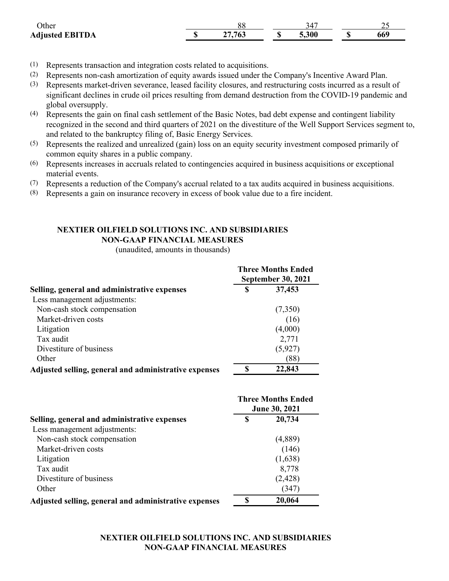| )ther                  | $\cup$ |       | ⌒  |
|------------------------|--------|-------|----|
| <b>Adjusted EBITDA</b> |        | 5,300 | vv |

- (1) Represents transaction and integration costs related to acquisitions.
- (2) Represents non-cash amortization of equity awards issued under the Company's Incentive Award Plan.
- (3) Represents market-driven severance, leased facility closures, and restructuring costs incurred as a result of significant declines in crude oil prices resulting from demand destruction from the COVID-19 pandemic and global oversupply.
- (4) Represents the gain on final cash settlement of the Basic Notes, bad debt expense and contingent liability recognized in the second and third quarters of 2021 on the divestiture of the Well Support Services segment to, and related to the bankruptcy filing of, Basic Energy Services.
- (5) Represents the realized and unrealized (gain) loss on an equity security investment composed primarily of common equity shares in a public company.
- (6) Represents increases in accruals related to contingencies acquired in business acquisitions or exceptional material events.
- (7) Represents a reduction of the Company's accrual related to a tax audits acquired in business acquisitions.
- (8) Represents a gain on insurance recovery in excess of book value due to a fire incident.

#### **NEXTIER OILFIELD SOLUTIONS INC. AND SUBSIDIARIES NON-GAAP FINANCIAL MEASURES**

(unaudited, amounts in thousands)

|                                                       | <b>Three Months Ended</b><br><b>September 30, 2021</b> |                                            |  |
|-------------------------------------------------------|--------------------------------------------------------|--------------------------------------------|--|
| Selling, general and administrative expenses          | \$                                                     | 37,453                                     |  |
| Less management adjustments:                          |                                                        |                                            |  |
| Non-cash stock compensation                           |                                                        | (7,350)                                    |  |
| Market-driven costs                                   |                                                        | (16)                                       |  |
| Litigation                                            |                                                        | (4,000)                                    |  |
| Tax audit                                             |                                                        | 2,771                                      |  |
| Divestiture of business                               |                                                        | (5,927)                                    |  |
| Other                                                 |                                                        | (88)                                       |  |
| Adjusted selling, general and administrative expenses | \$                                                     | 22,843                                     |  |
|                                                       |                                                        | <b>Three Months Ended</b><br>June 30, 2021 |  |
| Selling, general and administrative expenses          | \$                                                     | 20,734                                     |  |
| Less management adjustments:                          |                                                        |                                            |  |
| Non-cash stock compensation                           |                                                        | (4,889)                                    |  |
| Market-driven costs                                   |                                                        | (146)                                      |  |
| Litigation                                            |                                                        | (1,638)                                    |  |
| Tax audit                                             |                                                        | 8,778                                      |  |
| Divestiture of business                               |                                                        | (2, 428)                                   |  |
| Other                                                 |                                                        | (347)                                      |  |
| Adjusted selling, general and administrative expenses | \$                                                     | 20,064                                     |  |

#### **NEXTIER OILFIELD SOLUTIONS INC. AND SUBSIDIARIES NON-GAAP FINANCIAL MEASURES**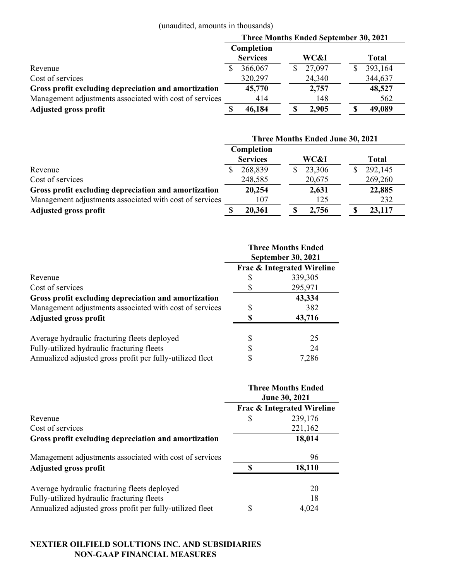### (unaudited, amounts in thousands)

|                                                         | <b>Three Months Ended September 30, 2021</b> |                 |  |        |         |
|---------------------------------------------------------|----------------------------------------------|-----------------|--|--------|---------|
|                                                         |                                              | Completion      |  |        |         |
|                                                         |                                              | <b>Services</b> |  | WC&I   | Total   |
| Revenue                                                 |                                              | 366,067         |  | 27,097 | 393,164 |
| Cost of services                                        |                                              | 320,297         |  | 24,340 | 344,637 |
| Gross profit excluding depreciation and amortization    |                                              | 45,770          |  | 2,757  | 48,527  |
| Management adjustments associated with cost of services |                                              | 414             |  | 148    | 562     |
| <b>Adjusted gross profit</b>                            |                                              | 46,184          |  | 2,905  | 49,089  |

|                                                         | Three Months Ended June 30, 2021 |                 |  |        |  |         |
|---------------------------------------------------------|----------------------------------|-----------------|--|--------|--|---------|
|                                                         |                                  | Completion      |  |        |  |         |
|                                                         |                                  | <b>Services</b> |  | WC&I   |  | Total   |
| Revenue                                                 |                                  | 268,839         |  | 23,306 |  | 292,145 |
| Cost of services                                        |                                  | 248,585         |  | 20,675 |  | 269,260 |
| Gross profit excluding depreciation and amortization    |                                  | 20,254          |  | 2,631  |  | 22,885  |
| Management adjustments associated with cost of services |                                  | 107             |  | 125    |  | 232     |
| <b>Adjusted gross profit</b>                            |                                  | 20,361          |  | 2,756  |  | 23,117  |

|                                                           | <b>Three Months Ended</b><br><b>September 30, 2021</b> |                            |  |  |
|-----------------------------------------------------------|--------------------------------------------------------|----------------------------|--|--|
|                                                           |                                                        | Frac & Integrated Wireline |  |  |
| Revenue                                                   |                                                        | 339,305                    |  |  |
| Cost of services                                          |                                                        | 295,971                    |  |  |
| Gross profit excluding depreciation and amortization      |                                                        | 43,334                     |  |  |
| Management adjustments associated with cost of services   |                                                        | 382                        |  |  |
| <b>Adjusted gross profit</b>                              |                                                        | 43,716                     |  |  |
| Average hydraulic fracturing fleets deployed              |                                                        | 25                         |  |  |
| Fully-utilized hydraulic fracturing fleets                |                                                        | 24                         |  |  |
| Annualized adjusted gross profit per fully-utilized fleet |                                                        | 7,286                      |  |  |

|                                                           | <b>Three Months Ended</b><br>June 30, 2021 |                                       |  |
|-----------------------------------------------------------|--------------------------------------------|---------------------------------------|--|
|                                                           |                                            | <b>Frac &amp; Integrated Wireline</b> |  |
| Revenue                                                   | S                                          | 239,176                               |  |
| Cost of services                                          |                                            | 221,162                               |  |
| Gross profit excluding depreciation and amortization      |                                            | 18,014                                |  |
| Management adjustments associated with cost of services   |                                            | 96                                    |  |
| <b>Adjusted gross profit</b>                              | \$                                         | 18,110                                |  |
| Average hydraulic fracturing fleets deployed              |                                            | 20                                    |  |
| Fully-utilized hydraulic fracturing fleets                |                                            | 18                                    |  |
| Annualized adjusted gross profit per fully-utilized fleet |                                            | 4,024                                 |  |

### **NEXTIER OILFIELD SOLUTIONS INC. AND SUBSIDIARIES NON-GAAP FINANCIAL MEASURES**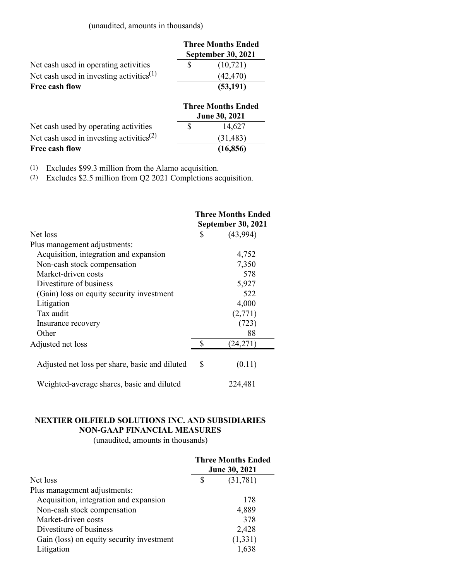(unaudited, amounts in thousands)

|                                                            |                      | <b>Three Months Ended</b><br><b>September 30, 2021</b> |  |
|------------------------------------------------------------|----------------------|--------------------------------------------------------|--|
| Net cash used in operating activities                      | S                    | (10, 721)                                              |  |
| Net cash used in investing activities <sup>(1)</sup>       |                      | (42, 470)                                              |  |
| Free cash flow                                             |                      | (53, 191)                                              |  |
|                                                            |                      | <b>Three Months Ended</b>                              |  |
|                                                            | <b>June 30, 2021</b> |                                                        |  |
| NT 24 (2014) computation or consideration of the father of | ₼                    | 1.4 $\epsilon$ $\sim$ $\tau$                           |  |

| Net cash used by operating activities                | -S | 14,627    |
|------------------------------------------------------|----|-----------|
| Net cash used in investing activities <sup>(2)</sup> |    | (31, 483) |
| Free cash flow                                       |    | (16, 856) |

(1) Excludes \$99.3 million from the Alamo acquisition.

(2) Excludes \$2.5 million from Q2 2021 Completions acquisition.

|                                                |    | <b>Three Months Ended</b><br><b>September 30, 2021</b> |  |  |
|------------------------------------------------|----|--------------------------------------------------------|--|--|
| Net loss                                       | \$ | (43,994)                                               |  |  |
| Plus management adjustments:                   |    |                                                        |  |  |
| Acquisition, integration and expansion         |    | 4,752                                                  |  |  |
| Non-cash stock compensation                    |    | 7,350                                                  |  |  |
| Market-driven costs                            |    | 578                                                    |  |  |
| Divestiture of business                        |    | 5,927                                                  |  |  |
| (Gain) loss on equity security investment      |    | 522                                                    |  |  |
| Litigation                                     |    | 4,000                                                  |  |  |
| Tax audit                                      |    | (2,771)                                                |  |  |
| Insurance recovery                             |    | (723)                                                  |  |  |
| Other                                          |    | 88                                                     |  |  |
| Adjusted net loss                              | \$ | (24,271)                                               |  |  |
| Adjusted net loss per share, basic and diluted | \$ | (0.11)                                                 |  |  |
| Weighted-average shares, basic and diluted     |    | 224.481                                                |  |  |

### **NEXTIER OILFIELD SOLUTIONS INC. AND SUBSIDIARIES NON-GAAP FINANCIAL MEASURES**

(unaudited, amounts in thousands)

| Net loss                                  | <b>Three Months Ended</b><br>June 30, 2021 |          |
|-------------------------------------------|--------------------------------------------|----------|
|                                           | S                                          | (31,781) |
| Plus management adjustments:              |                                            |          |
| Acquisition, integration and expansion    |                                            | 178      |
| Non-cash stock compensation               |                                            | 4,889    |
| Market-driven costs                       |                                            | 378      |
| Divestiture of business                   |                                            | 2,428    |
| Gain (loss) on equity security investment |                                            | (1, 331) |
| Litigation                                |                                            | 1,638    |